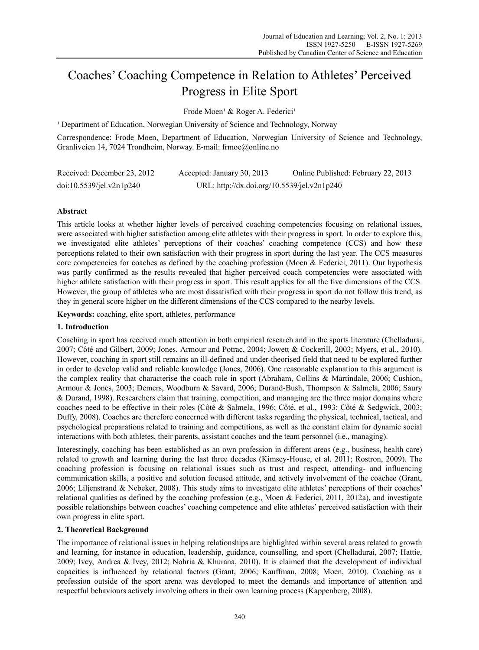# Coaches' Coaching Competence in Relation to Athletes' Perceived Progress in Elite Sport

Frode Moen<sup>1</sup> & Roger A. Federici<sup>1</sup>

<sup>1</sup> Department of Education, Norwegian University of Science and Technology, Norway

Correspondence: Frode Moen, Department of Education, Norwegian University of Science and Technology, Granliveien 14, 7024 Trondheim, Norway. E-mail: frmoe@online.no

| Received: December 23, 2012 | Accepted: January 30, 2013                  | Online Published: February 22, 2013 |
|-----------------------------|---------------------------------------------|-------------------------------------|
| doi:10.5539/jel.v2n1p240    | URL: http://dx.doi.org/10.5539/jel.v2n1p240 |                                     |

# **Abstract**

This article looks at whether higher levels of perceived coaching competencies focusing on relational issues, were associated with higher satisfaction among elite athletes with their progress in sport. In order to explore this, we investigated elite athletes' perceptions of their coaches' coaching competence (CCS) and how these perceptions related to their own satisfaction with their progress in sport during the last year. The CCS measures core competencies for coaches as defined by the coaching profession (Moen & Federici, 2011). Our hypothesis was partly confirmed as the results revealed that higher perceived coach competencies were associated with higher athlete satisfaction with their progress in sport. This result applies for all the five dimensions of the CCS. However, the group of athletes who are most dissatisfied with their progress in sport do not follow this trend, as they in general score higher on the different dimensions of the CCS compared to the nearby levels.

**Keywords:** coaching, elite sport, athletes, performance

## **1. Introduction**

Coaching in sport has received much attention in both empirical research and in the sports literature (Chelladurai, 2007; Côté and Gilbert, 2009; Jones, Armour and Potrac, 2004; Jowett & Cockerill, 2003; Myers, et al., 2010). However, coaching in sport still remains an ill-defined and under-theorised field that need to be explored further in order to develop valid and reliable knowledge (Jones, 2006). One reasonable explanation to this argument is the complex reality that characterise the coach role in sport (Abraham, Collins & Martindale, 2006; Cushion, Armour & Jones, 2003; Demers, Woodburn & Savard, 2006; Durand-Bush, Thompson & Salmela, 2006; Saury & Durand, 1998). Researchers claim that training, competition, and managing are the three major domains where coaches need to be effective in their roles (Côté & Salmela, 1996; Côté, et al., 1993; Côté & Sedgwick, 2003; Duffy, 2008). Coaches are therefore concerned with different tasks regarding the physical, technical, tactical, and psychological preparations related to training and competitions, as well as the constant claim for dynamic social interactions with both athletes, their parents, assistant coaches and the team personnel (i.e., managing).

Interestingly, coaching has been established as an own profession in different areas (e.g., business, health care) related to growth and learning during the last three decades (Kimsey-House, et al. 2011; Rostron, 2009). The coaching profession is focusing on relational issues such as trust and respect, attending- and influencing communication skills, a positive and solution focused attitude, and actively involvement of the coachee (Grant, 2006; Liljenstrand & Nebeker, 2008). This study aims to investigate elite athletes' perceptions of their coaches' relational qualities as defined by the coaching profession (e.g., Moen & Federici, 2011, 2012a), and investigate possible relationships between coaches' coaching competence and elite athletes' perceived satisfaction with their own progress in elite sport.

## **2. Theoretical Background**

The importance of relational issues in helping relationships are highlighted within several areas related to growth and learning, for instance in education, leadership, guidance, counselling, and sport (Chelladurai, 2007; Hattie, 2009; Ivey, Andrea & Ivey, 2012; Nohria & Khurana, 2010). It is claimed that the development of individual capacities is influenced by relational factors (Grant, 2006; Kauffman, 2008; Moen, 2010). Coaching as a profession outside of the sport arena was developed to meet the demands and importance of attention and respectful behaviours actively involving others in their own learning process (Kappenberg, 2008).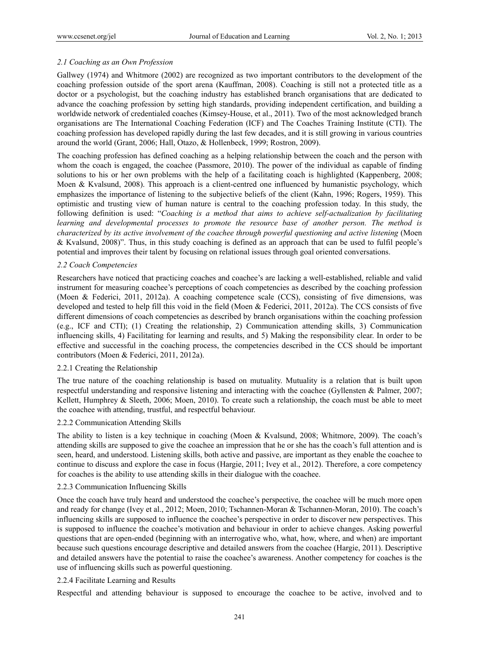# *2.1 Coaching as an Own Profession*

Gallwey (1974) and Whitmore (2002) are recognized as two important contributors to the development of the coaching profession outside of the sport arena (Kauffman, 2008). Coaching is still not a protected title as a doctor or a psychologist, but the coaching industry has established branch organisations that are dedicated to advance the coaching profession by setting high standards, providing independent certification, and building a worldwide network of credentialed coaches (Kimsey-House, et al., 2011). Two of the most acknowledged branch organisations are The International Coaching Federation (ICF) and The Coaches Training Institute (CTI). The coaching profession has developed rapidly during the last few decades, and it is still growing in various countries around the world (Grant, 2006; Hall, Otazo, & Hollenbeck, 1999; Rostron, 2009).

The coaching profession has defined coaching as a helping relationship between the coach and the person with whom the coach is engaged, the coachee (Passmore, 2010). The power of the individual as capable of finding solutions to his or her own problems with the help of a facilitating coach is highlighted (Kappenberg, 2008; Moen & Kvalsund, 2008). This approach is a client-centred one influenced by humanistic psychology, which emphasizes the importance of listening to the subjective beliefs of the client (Kahn, 1996; Rogers, 1959). This optimistic and trusting view of human nature is central to the coaching profession today. In this study, the following definition is used: "*Coaching is a method that aims to achieve self-actualization by facilitating learning and developmental processes to promote the resource base of another person. The method is characterized by its active involvement of the coachee through powerful questioning and active listening* (Moen & Kvalsund, 2008)". Thus, in this study coaching is defined as an approach that can be used to fulfil people's potential and improves their talent by focusing on relational issues through goal oriented conversations.

## *2.2 Coach Competencies*

Researchers have noticed that practicing coaches and coachee's are lacking a well-established, reliable and valid instrument for measuring coachee's perceptions of coach competencies as described by the coaching profession (Moen & Federici, 2011, 2012a). A coaching competence scale (CCS), consisting of five dimensions, was developed and tested to help fill this void in the field (Moen & Federici, 2011, 2012a). The CCS consists of five different dimensions of coach competencies as described by branch organisations within the coaching profession (e.g., ICF and CTI); (1) Creating the relationship, 2) Communication attending skills, 3) Communication influencing skills, 4) Facilitating for learning and results, and 5) Making the responsibility clear. In order to be effective and successful in the coaching process, the competencies described in the CCS should be important contributors (Moen & Federici, 2011, 2012a).

## 2.2.1 Creating the Relationship

The true nature of the coaching relationship is based on mutuality. Mutuality is a relation that is built upon respectful understanding and responsive listening and interacting with the coachee (Gyllensten & Palmer, 2007; Kellett, Humphrey & Sleeth, 2006; Moen, 2010). To create such a relationship, the coach must be able to meet the coachee with attending, trustful, and respectful behaviour.

#### 2.2.2 Communication Attending Skills

The ability to listen is a key technique in coaching (Moen & Kvalsund, 2008; Whitmore, 2009). The coach's attending skills are supposed to give the coachee an impression that he or she has the coach's full attention and is seen, heard, and understood. Listening skills, both active and passive, are important as they enable the coachee to continue to discuss and explore the case in focus (Hargie, 2011; Ivey et al., 2012). Therefore, a core competency for coaches is the ability to use attending skills in their dialogue with the coachee.

#### 2.2.3 Communication Influencing Skills

Once the coach have truly heard and understood the coachee's perspective, the coachee will be much more open and ready for change (Ivey et al., 2012; Moen, 2010; Tschannen-Moran & Tschannen-Moran, 2010). The coach's influencing skills are supposed to influence the coachee's perspective in order to discover new perspectives. This is supposed to influence the coachee's motivation and behaviour in order to achieve changes. Asking powerful questions that are open-ended (beginning with an interrogative who, what, how, where, and when) are important because such questions encourage descriptive and detailed answers from the coachee (Hargie, 2011). Descriptive and detailed answers have the potential to raise the coachee's awareness. Another competency for coaches is the use of influencing skills such as powerful questioning.

## 2.2.4 Facilitate Learning and Results

Respectful and attending behaviour is supposed to encourage the coachee to be active, involved and to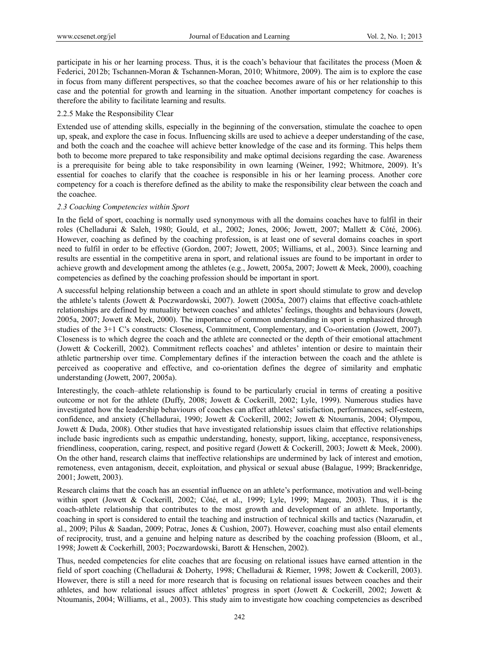participate in his or her learning process. Thus, it is the coach's behaviour that facilitates the process (Moen  $\&$ Federici, 2012b; Tschannen-Moran & Tschannen-Moran, 2010; Whitmore, 2009). The aim is to explore the case in focus from many different perspectives, so that the coachee becomes aware of his or her relationship to this case and the potential for growth and learning in the situation. Another important competency for coaches is therefore the ability to facilitate learning and results.

## 2.2.5 Make the Responsibility Clear

Extended use of attending skills, especially in the beginning of the conversation, stimulate the coachee to open up, speak, and explore the case in focus. Influencing skills are used to achieve a deeper understanding of the case, and both the coach and the coachee will achieve better knowledge of the case and its forming. This helps them both to become more prepared to take responsibility and make optimal decisions regarding the case. Awareness is a prerequisite for being able to take responsibility in own learning (Weiner, 1992; Whitmore, 2009). It's essential for coaches to clarify that the coachee is responsible in his or her learning process. Another core competency for a coach is therefore defined as the ability to make the responsibility clear between the coach and the coachee.

## *2.3 Coaching Competencies within Sport*

In the field of sport, coaching is normally used synonymous with all the domains coaches have to fulfil in their roles (Chelladurai & Saleh, 1980; Gould, et al., 2002; Jones, 2006; Jowett, 2007; Mallett & Côté, 2006). However, coaching as defined by the coaching profession, is at least one of several domains coaches in sport need to fulfil in order to be effective (Gordon, 2007; Jowett, 2005; Williams, et al., 2003). Since learning and results are essential in the competitive arena in sport, and relational issues are found to be important in order to achieve growth and development among the athletes (e.g., Jowett, 2005a, 2007; Jowett & Meek, 2000), coaching competencies as defined by the coaching profession should be important in sport.

A successful helping relationship between a coach and an athlete in sport should stimulate to grow and develop the athlete's talents (Jowett & Poczwardowski, 2007). Jowett (2005a, 2007) claims that effective coach-athlete relationships are defined by mutuality between coaches' and athletes' feelings, thoughts and behaviours (Jowett, 2005a, 2007; Jowett & Meek, 2000). The importance of common understanding in sport is emphasized through studies of the 3+1 C's constructs: Closeness, Commitment, Complementary, and Co-orientation (Jowett, 2007). Closeness is to which degree the coach and the athlete are connected or the depth of their emotional attachment (Jowett & Cockerill, 2002). Commitment reflects coaches' and athletes' intention or desire to maintain their athletic partnership over time. Complementary defines if the interaction between the coach and the athlete is perceived as cooperative and effective, and co-orientation defines the degree of similarity and emphatic understanding (Jowett, 2007, 2005a).

Interestingly, the coach–athlete relationship is found to be particularly crucial in terms of creating a positive outcome or not for the athlete (Duffy, 2008; Jowett & Cockerill, 2002; Lyle, 1999). Numerous studies have investigated how the leadership behaviours of coaches can affect athletes' satisfaction, performances, self-esteem, confidence, and anxiety (Chelladurai, 1990; Jowett & Cockerill, 2002; Jowett & Ntoumanis, 2004; Olympou, Jowett & Duda, 2008). Other studies that have investigated relationship issues claim that effective relationships include basic ingredients such as empathic understanding, honesty, support, liking, acceptance, responsiveness, friendliness, cooperation, caring, respect, and positive regard (Jowett & Cockerill, 2003; Jowett & Meek, 2000). On the other hand, research claims that ineffective relationships are undermined by lack of interest and emotion, remoteness, even antagonism, deceit, exploitation, and physical or sexual abuse (Balague, 1999; Brackenridge, 2001; Jowett, 2003).

Research claims that the coach has an essential influence on an athlete's performance, motivation and well-being within sport (Jowett & Cockerill, 2002; Côté, et al., 1999; Lyle, 1999; Mageau, 2003). Thus, it is the coach-athlete relationship that contributes to the most growth and development of an athlete. Importantly, coaching in sport is considered to entail the teaching and instruction of technical skills and tactics (Nazarudin, et al., 2009; Pilus & Saadan, 2009; Potrac, Jones & Cushion, 2007). However, coaching must also entail elements of reciprocity, trust, and a genuine and helping nature as described by the coaching profession (Bloom, et al., 1998; Jowett & Cockerhill, 2003; Poczwardowski, Barott & Henschen, 2002).

Thus, needed competencies for elite coaches that are focusing on relational issues have earned attention in the field of sport coaching (Chelladurai & Doherty, 1998; Chelladurai & Riemer, 1998; Jowett & Cockerill, 2003). However, there is still a need for more research that is focusing on relational issues between coaches and their athletes, and how relational issues affect athletes' progress in sport (Jowett & Cockerill, 2002; Jowett & Ntoumanis, 2004; Williams, et al., 2003). This study aim to investigate how coaching competencies as described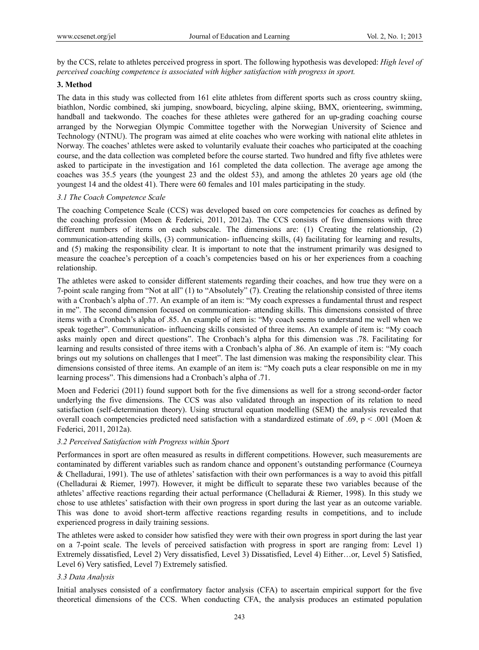by the CCS, relate to athletes perceived progress in sport. The following hypothesis was developed: *High level of perceived coaching competence is associated with higher satisfaction with progress in sport.*

## **3. Method**

The data in this study was collected from 161 elite athletes from different sports such as cross country skiing, biathlon, Nordic combined, ski jumping, snowboard, bicycling, alpine skiing, BMX, orienteering, swimming, handball and taekwondo. The coaches for these athletes were gathered for an up-grading coaching course arranged by the Norwegian Olympic Committee together with the Norwegian University of Science and Technology (NTNU). The program was aimed at elite coaches who were working with national elite athletes in Norway. The coaches' athletes were asked to voluntarily evaluate their coaches who participated at the coaching course, and the data collection was completed before the course started. Two hundred and fifty five athletes were asked to participate in the investigation and 161 completed the data collection. The average age among the coaches was 35.5 years (the youngest 23 and the oldest 53), and among the athletes 20 years age old (the youngest 14 and the oldest 41). There were 60 females and 101 males participating in the study.

# *3.1 The Coach Competence Scale*

The coaching Competence Scale (CCS) was developed based on core competencies for coaches as defined by the coaching profession (Moen & Federici, 2011, 2012a). The CCS consists of five dimensions with three different numbers of items on each subscale. The dimensions are: (1) Creating the relationship, (2) communication-attending skills, (3) communication- influencing skills, (4) facilitating for learning and results, and (5) making the responsibility clear. It is important to note that the instrument primarily was designed to measure the coachee's perception of a coach's competencies based on his or her experiences from a coaching relationship.

The athletes were asked to consider different statements regarding their coaches, and how true they were on a 7-point scale ranging from "Not at all" (1) to "Absolutely" (7). Creating the relationship consisted of three items with a Cronbach's alpha of .77. An example of an item is: "My coach expresses a fundamental thrust and respect in me". The second dimension focused on communication- attending skills. This dimensions consisted of three items with a Cronbach's alpha of .85. An example of item is: "My coach seems to understand me well when we speak together". Communication- influencing skills consisted of three items. An example of item is: "My coach asks mainly open and direct questions". The Cronbach's alpha for this dimension was .78. Facilitating for learning and results consisted of three items with a Cronbach's alpha of .86. An example of item is: "My coach brings out my solutions on challenges that I meet". The last dimension was making the responsibility clear. This dimensions consisted of three items. An example of an item is: "My coach puts a clear responsible on me in my learning process". This dimensions had a Cronbach's alpha of .71.

Moen and Federici (2011) found support both for the five dimensions as well for a strong second-order factor underlying the five dimensions. The CCS was also validated through an inspection of its relation to need satisfaction (self-determination theory). Using structural equation modelling (SEM) the analysis revealed that overall coach competencies predicted need satisfaction with a standardized estimate of .69, p < .001 (Moen & Federici, 2011, 2012a).

## *3.2 Perceived Satisfaction with Progress within Sport*

Performances in sport are often measured as results in different competitions. However, such measurements are contaminated by different variables such as random chance and opponent's outstanding performance (Courneya & Chelladurai, 1991). The use of athletes' satisfaction with their own performances is a way to avoid this pitfall (Chelladurai & Riemer, 1997). However, it might be difficult to separate these two variables because of the athletes' affective reactions regarding their actual performance (Chelladurai & Riemer, 1998). In this study we chose to use athletes' satisfaction with their own progress in sport during the last year as an outcome variable. This was done to avoid short-term affective reactions regarding results in competitions, and to include experienced progress in daily training sessions.

The athletes were asked to consider how satisfied they were with their own progress in sport during the last year on a 7-point scale. The levels of perceived satisfaction with progress in sport are ranging from: Level 1) Extremely dissatisfied, Level 2) Very dissatisfied, Level 3) Dissatisfied, Level 4) Either…or, Level 5) Satisfied, Level 6) Very satisfied, Level 7) Extremely satisfied.

## *3.3 Data Analysis*

Initial analyses consisted of a confirmatory factor analysis (CFA) to ascertain empirical support for the five theoretical dimensions of the CCS. When conducting CFA, the analysis produces an estimated population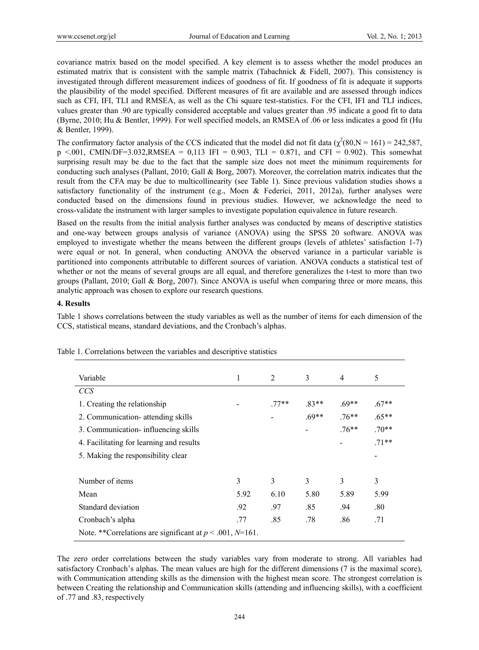covariance matrix based on the model specified. A key element is to assess whether the model produces an estimated matrix that is consistent with the sample matrix (Tabachnick & Fidell, 2007). This consistency is investigated through different measurement indices of goodness of fit. If goodness of fit is adequate it supports the plausibility of the model specified. Different measures of fit are available and are assessed through indices such as CFI, IFI, TLI and RMSEA, as well as the Chi square test-statistics. For the CFI, IFI and TLI indices, values greater than .90 are typically considered acceptable and values greater than .95 indicate a good fit to data (Byrne, 2010; Hu & Bentler, 1999). For well specified models, an RMSEA of .06 or less indicates a good fit (Hu & Bentler, 1999).

The confirmatory factor analysis of the CCS indicated that the model did not fit data ( $\chi^2(80, N = 161) = 242,587$ ,  $p \le 0.001$ , CMIN/DF=3.032,RMSEA = 0,113 IFI = 0.903, TLI = 0.871, and CFI = 0.902). This somewhat surprising result may be due to the fact that the sample size does not meet the minimum requirements for conducting such analyses (Pallant, 2010; Gall & Borg, 2007). Moreover, the correlation matrix indicates that the result from the CFA may be due to multicollinearity (see Table 1). Since previous validation studies shows a satisfactory functionality of the instrument (e.g., Moen  $\&$  Federici, 2011, 2012a), further analyses were conducted based on the dimensions found in previous studies. However, we acknowledge the need to cross-validate the instrument with larger samples to investigate population equivalence in future research.

Based on the results from the initial analysis further analyses was conducted by means of descriptive statistics and one-way between groups analysis of variance (ANOVA) using the SPSS 20 software. ANOVA was employed to investigate whether the means between the different groups (levels of athletes' satisfaction 1-7) were equal or not. In general, when conducting ANOVA the observed variance in a particular variable is partitioned into components attributable to different sources of variation. ANOVA conducts a statistical test of whether or not the means of several groups are all equal, and therefore generalizes the t-test to more than two groups (Pallant, 2010; Gall & Borg, 2007). Since ANOVA is useful when comparing three or more means, this analytic approach was chosen to explore our research questions.

## **4. Results**

Table 1 shows correlations between the study variables as well as the number of items for each dimension of the CCS, statistical means, standard deviations, and the Cronbach's alphas.

| Variable                                                       | 1    | 2      | 3       | $\overline{4}$ | 5       |
|----------------------------------------------------------------|------|--------|---------|----------------|---------|
| <b>CCS</b>                                                     |      |        |         |                |         |
| 1. Creating the relationship                                   |      | $77**$ | $.83**$ | $.69**$        | $.67**$ |
| 2. Communication- attending skills                             |      |        | $.69**$ | $.76**$        | $.65**$ |
| 3. Communication-influencing skills                            |      |        |         | $.76**$        | $.70**$ |
| 4. Facilitating for learning and results                       |      |        |         |                | $.71**$ |
| 5. Making the responsibility clear                             |      |        |         |                |         |
|                                                                |      |        |         |                |         |
| Number of items                                                | 3    | 3      | 3       | 3              | 3       |
| Mean                                                           | 5.92 | 6.10   | 5.80    | 5.89           | 5.99    |
| Standard deviation                                             | .92  | .97    | .85     | .94            | .80     |
| Cronbach's alpha                                               | .77  | .85    | .78     | .86            | .71     |
| Note. **Correlations are significant at $p < .001$ , $N=161$ . |      |        |         |                |         |

Table 1. Correlations between the variables and descriptive statistics

The zero order correlations between the study variables vary from moderate to strong. All variables had satisfactory Cronbach's alphas. The mean values are high for the different dimensions (7 is the maximal score), with Communication attending skills as the dimension with the highest mean score. The strongest correlation is between Creating the relationship and Communication skills (attending and influencing skills), with a coefficient of .77 and .83, respectively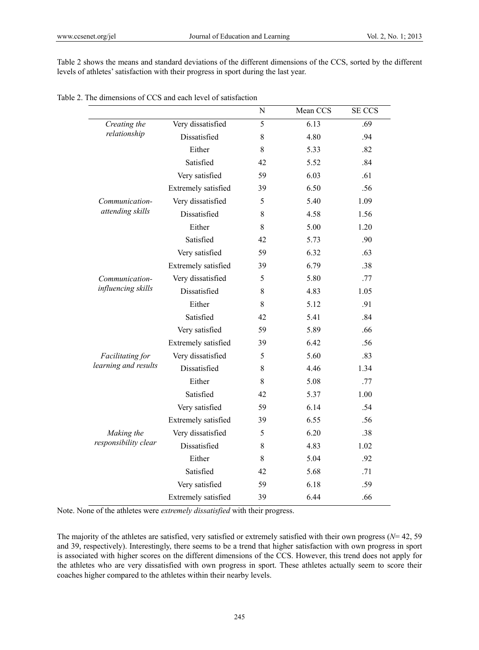Table 2 shows the means and standard deviations of the different dimensions of the CCS, sorted by the different levels of athletes' satisfaction with their progress in sport during the last year.

| Table 2. The dimensions of CCS and each level of satisfaction |  |
|---------------------------------------------------------------|--|
|---------------------------------------------------------------|--|

|                      |                     | N     | Mean CCS | <b>SE CCS</b> |
|----------------------|---------------------|-------|----------|---------------|
| Creating the         | Very dissatisfied   | 5     | 6.13     | .69           |
| relationship         | Dissatisfied        | 8     | 4.80     | .94           |
|                      | Either              | 8     | 5.33     | .82           |
|                      | Satisfied           | 42    | 5.52     | .84           |
|                      | Very satisfied      | 59    | 6.03     | .61           |
|                      | Extremely satisfied | 39    | 6.50     | .56           |
| Communication-       | Very dissatisfied   | 5     | 5.40     | 1.09          |
| attending skills     | Dissatisfied        | 8     | 4.58     | 1.56          |
|                      | Either              | 8     | 5.00     | 1.20          |
|                      | Satisfied           | 42    | 5.73     | .90           |
|                      | Very satisfied      | 59    | 6.32     | .63           |
|                      | Extremely satisfied | 39    | 6.79     | .38           |
| Communication-       | Very dissatisfied   | 5     | 5.80     | .77           |
| influencing skills   | Dissatisfied        | 8     | 4.83     | 1.05          |
|                      | Either              | 8     | 5.12     | .91           |
|                      | Satisfied           | 42    | 5.41     | .84           |
|                      | Very satisfied      | 59    | 5.89     | .66           |
|                      | Extremely satisfied | 39    | 6.42     | .56           |
| Facilitating for     | Very dissatisfied   | 5     | 5.60     | .83           |
| learning and results | Dissatisfied        | 8     | 4.46     | 1.34          |
|                      | Either              | 8     | 5.08     | .77           |
|                      | Satisfied           | 42    | 5.37     | 1.00          |
|                      | Very satisfied      | 59    | 6.14     | .54           |
|                      | Extremely satisfied | 39    | 6.55     | .56           |
| Making the           | Very dissatisfied   | 5     | 6.20     | .38           |
| responsibility clear | Dissatisfied        | 8     | 4.83     | 1.02          |
|                      | Either              | $8\,$ | 5.04     | .92           |
|                      | Satisfied           | 42    | 5.68     | .71           |
|                      | Very satisfied      | 59    | 6.18     | .59           |
|                      | Extremely satisfied | 39    | 6.44     | .66           |

Note. None of the athletes were *extremely dissatisfied* with their progress.

The majority of the athletes are satisfied, very satisfied or extremely satisfied with their own progress (*N*= 42, 59 and 39, respectively). Interestingly, there seems to be a trend that higher satisfaction with own progress in sport is associated with higher scores on the different dimensions of the CCS. However, this trend does not apply for the athletes who are very dissatisfied with own progress in sport. These athletes actually seem to score their coaches higher compared to the athletes within their nearby levels.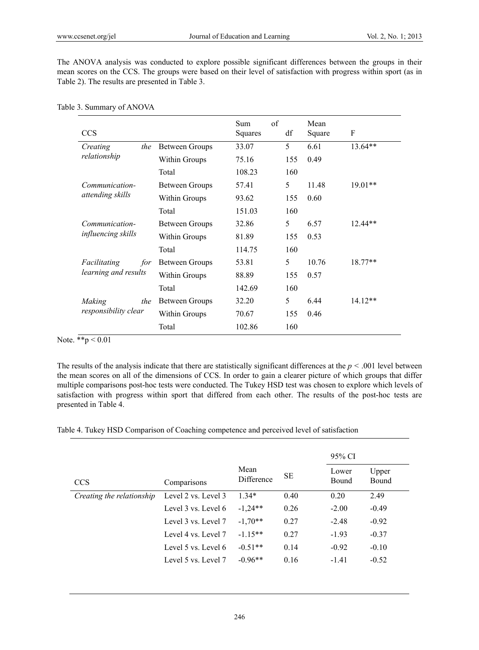The ANOVA analysis was conducted to explore possible significant differences between the groups in their mean scores on the CCS. The groups were based on their level of satisfaction with progress within sport (as in Table 2). The results are presented in Table 3.

| <b>CCS</b>                                  |                       | of<br>Sum<br>Squares | df  | Mean<br>Square | F         |
|---------------------------------------------|-----------------------|----------------------|-----|----------------|-----------|
| Creating<br>the                             | <b>Between Groups</b> | 33.07                | 5   | 6.61           | $13.64**$ |
| relationship                                | Within Groups         | 75.16                | 155 | 0.49           |           |
|                                             | Total                 | 108.23               | 160 |                |           |
| Communication-                              | Between Groups        | 57.41                | 5   | 11.48          | $19.01**$ |
| attending skills                            | Within Groups         | 93.62                | 155 | 0.60           |           |
|                                             | Total                 | 151.03               | 160 |                |           |
| Communication-                              | Between Groups        | 32.86                | 5   | 6.57           | $12.44**$ |
| <i>influencing skills</i>                   | Within Groups         | 81.89                | 155 | 0.53           |           |
|                                             | Total                 | 114.75               | 160 |                |           |
| Facilitating<br>for<br>learning and results | Between Groups        | 53.81                | 5   | 10.76          | $18.77**$ |
|                                             | Within Groups         | 88.89                | 155 | 0.57           |           |
|                                             | Total                 | 142.69               | 160 |                |           |
| Making<br>the<br>responsibility clear       | <b>Between Groups</b> | 32.20                | 5   | 6.44           | $14.12**$ |
|                                             | Within Groups         | 70.67                | 155 | 0.46           |           |
|                                             | Total                 | 102.86               | 160 |                |           |

Table 3. Summary of ANOVA

Note. \*\*p < 0.01

The results of the analysis indicate that there are statistically significant differences at the  $p < .001$  level between the mean scores on all of the dimensions of CCS. In order to gain a clearer picture of which groups that differ multiple comparisons post-hoc tests were conducted. The Tukey HSD test was chosen to explore which levels of satisfaction with progress within sport that differed from each other. The results of the post-hoc tests are presented in Table 4.

Table 4. Tukey HSD Comparison of Coaching competence and perceived level of satisfaction

|                           |                     |                    |      | 95% CI         |                |
|---------------------------|---------------------|--------------------|------|----------------|----------------|
| <b>CCS</b>                | Comparisons         | Mean<br>Difference | SЕ   | Lower<br>Bound | Upper<br>Bound |
| Creating the relationship | Level 2 vs. Level 3 | $1.34*$            | 0.40 | 0.20           | 2.49           |
|                           | Level 3 vs. Level 6 | $-1,24**$          | 0.26 | $-2.00$        | $-0.49$        |
|                           | Level 3 vs. Level 7 | $-1,70**$          | 0.27 | $-2.48$        | $-0.92$        |
|                           | Level 4 vs. Level 7 | $-1.15**$          | 0.27 | $-1.93$        | $-0.37$        |
|                           | Level 5 vs. Level 6 | $-0.51**$          | 0.14 | $-0.92$        | $-0.10$        |
|                           | Level 5 vs. Level 7 | $-0.96**$          | 0.16 | $-1.41$        | $-0.52$        |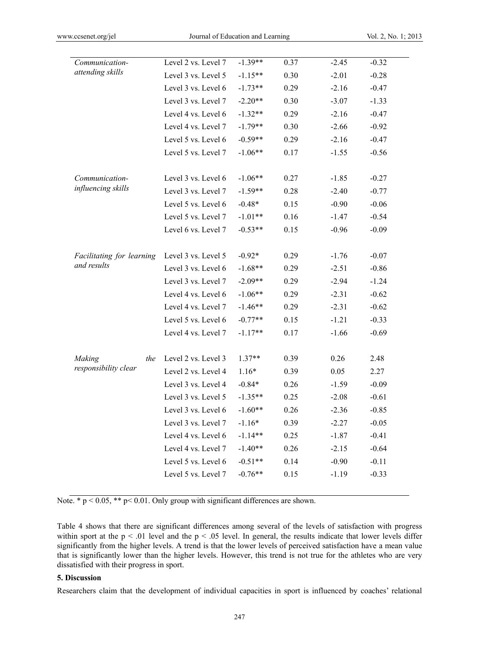| Communication-<br>attending skills | Level 2 vs. Level 7 | $-1.39**$ | 0.37 | $-2.45$ | $-0.32$ |
|------------------------------------|---------------------|-----------|------|---------|---------|
|                                    | Level 3 vs. Level 5 | $-1.15**$ | 0.30 | $-2.01$ | $-0.28$ |
|                                    | Level 3 vs. Level 6 | $-1.73**$ | 0.29 | $-2.16$ | $-0.47$ |
|                                    | Level 3 vs. Level 7 | $-2.20**$ | 0.30 | $-3.07$ | $-1.33$ |
|                                    | Level 4 vs. Level 6 | $-1.32**$ | 0.29 | $-2.16$ | $-0.47$ |
|                                    | Level 4 vs. Level 7 | $-1.79**$ | 0.30 | $-2.66$ | $-0.92$ |
|                                    | Level 5 vs. Level 6 | $-0.59**$ | 0.29 | $-2.16$ | $-0.47$ |
|                                    | Level 5 vs. Level 7 | $-1.06**$ | 0.17 | $-1.55$ | $-0.56$ |
|                                    |                     |           |      |         |         |
| Communication-                     | Level 3 vs. Level 6 | $-1.06**$ | 0.27 | $-1.85$ | $-0.27$ |
| influencing skills                 | Level 3 vs. Level 7 | $-1.59**$ | 0.28 | $-2.40$ | $-0.77$ |
|                                    | Level 5 vs. Level 6 | $-0.48*$  | 0.15 | $-0.90$ | $-0.06$ |
|                                    | Level 5 vs. Level 7 | $-1.01**$ | 0.16 | $-1.47$ | $-0.54$ |
|                                    | Level 6 vs. Level 7 | $-0.53**$ | 0.15 | $-0.96$ | $-0.09$ |
|                                    |                     |           |      |         |         |
| Facilitating for learning          | Level 3 vs. Level 5 | $-0.92*$  | 0.29 | $-1.76$ | $-0.07$ |
| and results                        | Level 3 vs. Level 6 | $-1.68**$ | 0.29 | $-2.51$ | $-0.86$ |
|                                    | Level 3 vs. Level 7 | $-2.09**$ | 0.29 | $-2.94$ | $-1.24$ |
|                                    | Level 4 vs. Level 6 | $-1.06**$ | 0.29 | $-2.31$ | $-0.62$ |
|                                    | Level 4 vs. Level 7 | $-1.46**$ | 0.29 | $-2.31$ | $-0.62$ |
|                                    | Level 5 vs. Level 6 | $-0.77**$ | 0.15 | $-1.21$ | $-0.33$ |
|                                    | Level 4 vs. Level 7 | $-1.17**$ | 0.17 | $-1.66$ | $-0.69$ |
|                                    |                     |           |      |         |         |
| the<br>Making                      | Level 2 vs. Level 3 | $1.37**$  | 0.39 | 0.26    | 2.48    |
| responsibility clear               | Level 2 vs. Level 4 | $1.16*$   | 0.39 | 0.05    | 2.27    |
|                                    | Level 3 vs. Level 4 | $-0.84*$  | 0.26 | $-1.59$ | $-0.09$ |
|                                    | Level 3 vs. Level 5 | $-1.35**$ | 0.25 | $-2.08$ | $-0.61$ |
|                                    | Level 3 vs. Level 6 | $-1.60**$ | 0.26 | $-2.36$ | $-0.85$ |
|                                    | Level 3 vs. Level 7 | $-1.16*$  | 0.39 | $-2.27$ | $-0.05$ |
|                                    | Level 4 vs. Level 6 | $-1.14**$ | 0.25 | $-1.87$ | $-0.41$ |
|                                    | Level 4 vs. Level 7 | $-1.40**$ | 0.26 | $-2.15$ | $-0.64$ |
|                                    | Level 5 vs. Level 6 | $-0.51**$ | 0.14 | $-0.90$ | $-0.11$ |
|                                    | Level 5 vs. Level 7 | $-0.76**$ | 0.15 | $-1.19$ | $-0.33$ |

Note. \*  $p < 0.05$ , \*\*  $p < 0.01$ . Only group with significant differences are shown.

Table 4 shows that there are significant differences among several of the levels of satisfaction with progress within sport at the  $p < .01$  level and the  $p < .05$  level. In general, the results indicate that lower levels differ significantly from the higher levels. A trend is that the lower levels of perceived satisfaction have a mean value that is significantly lower than the higher levels. However, this trend is not true for the athletes who are very dissatisfied with their progress in sport.

#### **5. Discussion**

Researchers claim that the development of individual capacities in sport is influenced by coaches' relational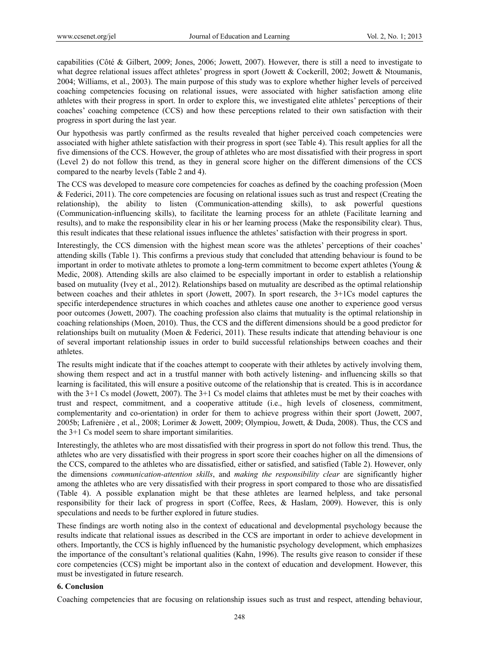capabilities (Côté & Gilbert, 2009; Jones, 2006; Jowett, 2007). However, there is still a need to investigate to what degree relational issues affect athletes' progress in sport (Jowett & Cockerill, 2002; Jowett & Ntoumanis, 2004; Williams, et al., 2003). The main purpose of this study was to explore whether higher levels of perceived coaching competencies focusing on relational issues, were associated with higher satisfaction among elite athletes with their progress in sport. In order to explore this, we investigated elite athletes' perceptions of their coaches' coaching competence (CCS) and how these perceptions related to their own satisfaction with their progress in sport during the last year.

Our hypothesis was partly confirmed as the results revealed that higher perceived coach competencies were associated with higher athlete satisfaction with their progress in sport (see Table 4). This result applies for all the five dimensions of the CCS. However, the group of athletes who are most dissatisfied with their progress in sport (Level 2) do not follow this trend, as they in general score higher on the different dimensions of the CCS compared to the nearby levels (Table 2 and 4).

The CCS was developed to measure core competencies for coaches as defined by the coaching profession (Moen & Federici, 2011). The core competencies are focusing on relational issues such as trust and respect (Creating the relationship), the ability to listen (Communication-attending skills), to ask powerful questions (Communication-influencing skills), to facilitate the learning process for an athlete (Facilitate learning and results), and to make the responsibility clear in his or her learning process (Make the responsibility clear). Thus, this result indicates that these relational issues influence the athletes' satisfaction with their progress in sport.

Interestingly, the CCS dimension with the highest mean score was the athletes' perceptions of their coaches' attending skills (Table 1). This confirms a previous study that concluded that attending behaviour is found to be important in order to motivate athletes to promote a long-term commitment to become expert athletes (Young & Medic, 2008). Attending skills are also claimed to be especially important in order to establish a relationship based on mutuality (Ivey et al., 2012). Relationships based on mutuality are described as the optimal relationship between coaches and their athletes in sport (Jowett, 2007). In sport research, the 3+1Cs model captures the specific interdependence structures in which coaches and athletes cause one another to experience good versus poor outcomes (Jowett, 2007). The coaching profession also claims that mutuality is the optimal relationship in coaching relationships (Moen, 2010). Thus, the CCS and the different dimensions should be a good predictor for relationships built on mutuality (Moen & Federici, 2011). These results indicate that attending behaviour is one of several important relationship issues in order to build successful relationships between coaches and their athletes.

The results might indicate that if the coaches attempt to cooperate with their athletes by actively involving them, showing them respect and act in a trustful manner with both actively listening- and influencing skills so that learning is facilitated, this will ensure a positive outcome of the relationship that is created. This is in accordance with the 3+1 Cs model (Jowett, 2007). The 3+1 Cs model claims that athletes must be met by their coaches with trust and respect, commitment, and a cooperative attitude (i.e., high levels of closeness, commitment, complementarity and co-orientation) in order for them to achieve progress within their sport (Jowett, 2007, 2005b; Lafrenière , et al., 2008; Lorimer & Jowett, 2009; Olympiou, Jowett, & Duda, 2008). Thus, the CCS and the 3+1 Cs model seem to share important similarities.

Interestingly, the athletes who are most dissatisfied with their progress in sport do not follow this trend. Thus, the athletes who are very dissatisfied with their progress in sport score their coaches higher on all the dimensions of the CCS, compared to the athletes who are dissatisfied, either or satisfied, and satisfied (Table 2). However, only the dimensions *communication-attention skills*, and *making the responsibility clear* are significantly higher among the athletes who are very dissatisfied with their progress in sport compared to those who are dissatisfied (Table 4). A possible explanation might be that these athletes are learned helpless, and take personal responsibility for their lack of progress in sport (Coffee, Rees, & Haslam, 2009). However, this is only speculations and needs to be further explored in future studies.

These findings are worth noting also in the context of educational and developmental psychology because the results indicate that relational issues as described in the CCS are important in order to achieve development in others. Importantly, the CCS is highly influenced by the humanistic psychology development, which emphasizes the importance of the consultant's relational qualities (Kahn, 1996). The results give reason to consider if these core competencies (CCS) might be important also in the context of education and development. However, this must be investigated in future research.

## **6. Conclusion**

Coaching competencies that are focusing on relationship issues such as trust and respect, attending behaviour,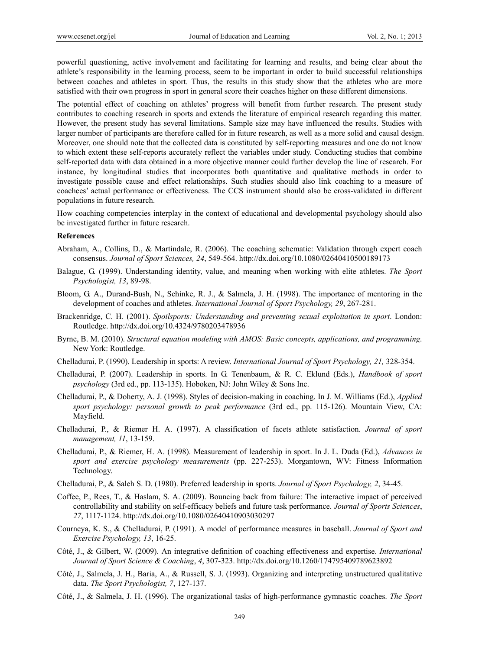powerful questioning, active involvement and facilitating for learning and results, and being clear about the athlete's responsibility in the learning process, seem to be important in order to build successful relationships between coaches and athletes in sport. Thus, the results in this study show that the athletes who are more satisfied with their own progress in sport in general score their coaches higher on these different dimensions.

The potential effect of coaching on athletes' progress will benefit from further research. The present study contributes to coaching research in sports and extends the literature of empirical research regarding this matter. However, the present study has several limitations. Sample size may have influenced the results. Studies with larger number of participants are therefore called for in future research, as well as a more solid and causal design. Moreover, one should note that the collected data is constituted by self-reporting measures and one do not know to which extent these self-reports accurately reflect the variables under study. Conducting studies that combine self-reported data with data obtained in a more objective manner could further develop the line of research. For instance, by longitudinal studies that incorporates both quantitative and qualitative methods in order to investigate possible cause and effect relationships. Such studies should also link coaching to a measure of coachees' actual performance or effectiveness. The CCS instrument should also be cross-validated in different populations in future research.

How coaching competencies interplay in the context of educational and developmental psychology should also be investigated further in future research.

#### **References**

- Abraham, A., Collins, D., & Martindale, R. (2006). The coaching schematic: Validation through expert coach consensus. *Journal of Sport Sciences, 24*, 549-564. http://dx.doi.org/10.1080/02640410500189173
- Balague, G. (1999). Understanding identity, value, and meaning when working with elite athletes. *The Sport Psychologist, 13*, 89-98.
- Bloom, G. A., Durand-Bush, N., Schinke, R. J., & Salmela, J. H. (1998). The importance of mentoring in the development of coaches and athletes. *International Journal of Sport Psychology, 29*, 267-281.
- Brackenridge, C. H. (2001). *Spoilsports: Understanding and preventing sexual exploitation in sport*. London: Routledge. http://dx.doi.org/10.4324/9780203478936
- Byrne, B. M. (2010). *Structural equation modeling with AMOS: Basic concepts, applications, and programming*. New York: Routledge.
- Chelladurai, P. (1990). Leadership in sports: A review. *International Journal of Sport Psychology, 21,* 328-354.
- Chelladurai, P. (2007). Leadership in sports. In G. Tenenbaum, & R. C. Eklund (Eds.), *Handbook of sport psychology* (3rd ed., pp. 113-135). Hoboken, NJ: John Wiley & Sons Inc.
- Chelladurai, P., & Doherty, A. J. (1998). Styles of decision-making in coaching. In J. M. Williams (Ed.), *Applied sport psychology: personal growth to peak performance* (3rd ed., pp. 115-126). Mountain View, CA: Mayfield.
- Chelladurai, P., & Riemer H. A. (1997). A classification of facets athlete satisfaction. *Journal of sport management, 11*, 13-159.
- Chelladurai, P., & Riemer, H. A. (1998). Measurement of leadership in sport. In J. L. Duda (Ed.), *Advances in sport and exercise psychology measurements* (pp. 227-253). Morgantown, WV: Fitness Information Technology.
- Chelladurai, P., & Saleh S. D. (1980). Preferred leadership in sports. *Journal of Sport Psychology, 2*, 34-45.
- Coffee, P., Rees, T., & Haslam, S. A. (2009). Bouncing back from failure: The interactive impact of perceived controllability and stability on self-efficacy beliefs and future task performance. *Journal of Sports Sciences*, *27*, 1117-1124. http://dx.doi.org/10.1080/02640410903030297
- Courneya, K. S., & Chelladurai, P. (1991). A model of performance measures in baseball. *Journal of Sport and Exercise Psychology, 13*, 16-25.
- Côté, J., & Gilbert, W. (2009). An integrative definition of coaching effectiveness and expertise. *International Journal of Sport Science & Coaching*, *4*, 307-323. http://dx.doi.org/10.1260/174795409789623892
- Côté, J., Salmela, J. H., Baria, A., & Russell, S. J. (1993). Organizing and interpreting unstructured qualitative data. *The Sport Psychologist, 7*, 127-137.
- Côté, J., & Salmela, J. H. (1996). The organizational tasks of high-performance gymnastic coaches. *The Sport*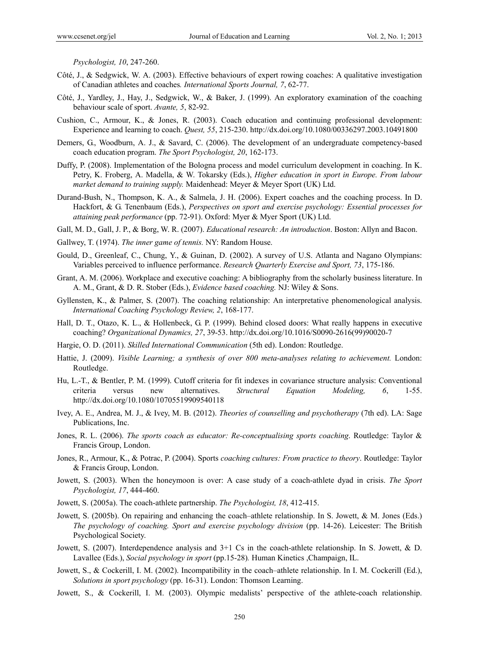*Psychologist, 10*, 247-260.

- Côté, J., & Sedgwick, W. A. (2003). Effective behaviours of expert rowing coaches: A qualitative investigation of Canadian athletes and coaches*. International Sports Journal, 7*, 62-77.
- Côté, J., Yardley, J., Hay, J., Sedgwick, W., & Baker, J. (1999). An exploratory examination of the coaching behaviour scale of sport. *Avante, 5*, 82-92.
- Cushion, C., Armour, K., & Jones, R. (2003). Coach education and continuing professional development: Experience and learning to coach. *Quest, 55*, 215-230. http://dx.doi.org/10.1080/00336297.2003.10491800
- Demers, G., Woodburn, A. J., & Savard, C. (2006). The development of an undergraduate competency-based coach education program. *The Sport Psychologist, 20*, 162-173.
- Duffy, P. (2008). Implementation of the Bologna process and model curriculum development in coaching. In K. Petry, K. Froberg, A. Madella, & W. Tokarsky (Eds.), *Higher education in sport in Europe. From labour market demand to training supply.* Maidenhead: Meyer & Meyer Sport (UK) Ltd.
- Durand-Bush, N., Thompson, K. A., & Salmela, J. H. (2006). Expert coaches and the coaching process. In D. Hackfort, & G. Tenenbaum (Eds.), *Perspectives on sport and exercise psychology: Essential processes for attaining peak performance* (pp. 72-91). Oxford: Myer & Myer Sport (UK) Ltd.
- Gall, M. D., Gall, J. P., & Borg, W. R. (2007). *Educational research: An introduction*. Boston: Allyn and Bacon.
- Gallwey, T. (1974). *The inner game of tennis.* NY: Random House.
- Gould, D., Greenleaf, C., Chung, Y., & Guinan, D. (2002). A survey of U.S. Atlanta and Nagano Olympians: Variables perceived to influence performance. *Research Quarterly Exercise and Sport, 73*, 175-186.
- Grant, A. M. (2006). Workplace and executive coaching: A bibliography from the scholarly business literature. In A. M., Grant, & D. R. Stober (Eds.), *Evidence based coaching.* NJ: Wiley & Sons.
- Gyllensten, K., & Palmer, S. (2007). The coaching relationship: An interpretative phenomenological analysis. *International Coaching Psychology Review, 2*, 168-177.
- Hall, D. T., Otazo, K. L., & Hollenbeck, G. P. (1999). Behind closed doors: What really happens in executive coaching? *Organizational Dynamics, 27*, 39-53. http://dx.doi.org/10.1016/S0090-2616(99)90020-7
- Hargie, O. D. (2011). *Skilled International Communication* (5th ed). London: Routledge.
- Hattie, J. (2009). *Visible Learning; a synthesis of over 800 meta-analyses relating to achievement.* London: Routledge.
- Hu, L.-T., & Bentler, P. M. (1999). Cutoff criteria for fit indexes in covariance structure analysis: Conventional criteria versus new alternatives. *Structural Equation Modeling, 6*, 1-55. http://dx.doi.org/10.1080/10705519909540118
- Ivey, A. E., Andrea, M. J., & Ivey, M. B. (2012). *Theories of counselling and psychotherapy* (7th ed). LA: Sage Publications, Inc.
- Jones, R. L. (2006). *The sports coach as educator: Re-conceptualising sports coaching*. Routledge: Taylor & Francis Group, London.
- Jones, R., Armour, K., & Potrac, P. (2004). Sports *coaching cultures: From practice to theory*. Routledge: Taylor & Francis Group, London.
- Jowett, S. (2003). When the honeymoon is over: A case study of a coach-athlete dyad in crisis. *The Sport Psychologist, 17*, 444-460.
- Jowett, S. (2005a). The coach-athlete partnership. *The Psychologist, 18*, 412-415.
- Jowett, S. (2005b). On repairing and enhancing the coach–athlete relationship. In S. Jowett, & M. Jones (Eds.) *The psychology of coaching. Sport and exercise psychology division* (pp. 14-26). Leicester: The British Psychological Society.
- Jowett, S. (2007). Interdependence analysis and 3+1 Cs in the coach-athlete relationship. In S. Jowett, & D. Lavallee (Eds.), *Social psychology in sport* (pp.15-28)*.* Human Kinetics ,Champaign, IL.
- Jowett, S., & Cockerill, I. M. (2002). Incompatibility in the coach–athlete relationship. In I. M. Cockerill (Ed.), *Solutions in sport psychology* (pp. 16-31). London: Thomson Learning.
- Jowett, S., & Cockerill, I. M. (2003). Olympic medalists' perspective of the athlete-coach relationship.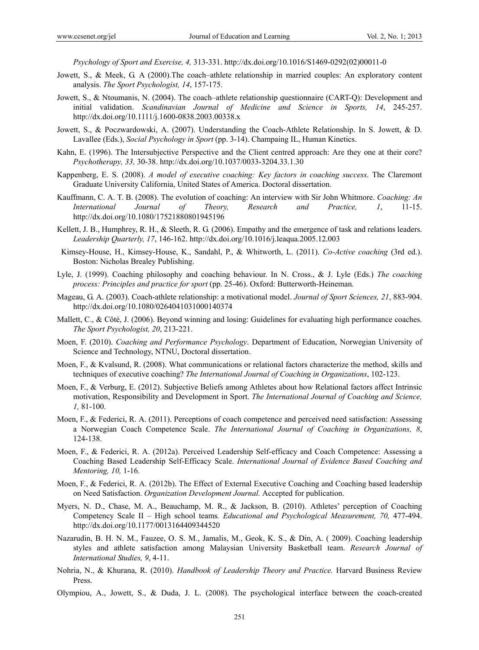*Psychology of Sport and Exercise, 4,* 313-331. http://dx.doi.org/10.1016/S1469-0292(02)00011-0

- Jowett, S., & Meek, G. A (2000).The coach–athlete relationship in married couples: An exploratory content analysis. *The Sport Psychologist, 14*, 157-175.
- Jowett, S., & Ntoumanis, N. (2004). The coach–athlete relationship questionnaire (CART-Q): Development and initial validation. *Scandinavian Journal of Medicine and Science in Sports, 14*, 245-257. http://dx.doi.org/10.1111/j.1600-0838.2003.00338.x
- Jowett, S., & Poczwardowski, A. (2007). Understanding the Coach-Athlete Relationship. In S. Jowett, & D. Lavallee (Eds.), *Social Psychology in Sport* (pp. 3-14). Champaing IL, Human Kinetics.
- Kahn, E. (1996). The Intersubjective Perspective and the Client centred approach: Are they one at their core? *Psychotherapy, 33,* 30-38. http://dx.doi.org/10.1037/0033-3204.33.1.30
- Kappenberg, E. S. (2008). *A model of executive coaching: Key factors in coaching success*. The Claremont Graduate University California, United States of America. Doctoral dissertation.
- Kauffmann, C. A. T. B. (2008). The evolution of coaching: An interview with Sir John Whitmore. *Coaching: An International Journal of Theory, Research and Practice, 1*, 11-15. http://dx.doi.org/10.1080/17521880801945196
- Kellett, J. B., Humphrey, R. H., & Sleeth, R. G. (2006). Empathy and the emergence of task and relations leaders. *Leadership Quarterly, 17*, 146-162. http://dx.doi.org/10.1016/j.leaqua.2005.12.003
- Kimsey-House, H., Kimsey-House, K., Sandahl, P., & Whitworth, L. (2011). *Co-Active coaching* (3rd ed.). Boston: Nicholas Brealey Publishing.
- Lyle, J. (1999). Coaching philosophy and coaching behaviour. In N. Cross., & J. Lyle (Eds.) *The coaching process: Principles and practice for sport* (pp. 25-46). Oxford: Butterworth-Heineman.
- Mageau, G. A. (2003). Coach-athlete relationship: a motivational model. *Journal of Sport Sciences, 21*, 883-904. http://dx.doi.org/10.1080/0264041031000140374
- Mallett, C., & Côté, J. (2006). Beyond winning and losing: Guidelines for evaluating high performance coaches. *The Sport Psychologist, 20*, 213-221.
- Moen, F. (2010). *Coaching and Performance Psychology*. Department of Education, Norwegian University of Science and Technology, NTNU, Doctoral dissertation.
- Moen, F., & Kvalsund, R. (2008). What communications or relational factors characterize the method, skills and techniques of executive coaching? *The International Journal of Coaching in Organizations*, 102-123.
- Moen, F., & Verburg, E. (2012). Subjective Beliefs among Athletes about how Relational factors affect Intrinsic motivation, Responsibility and Development in Sport. *The International Journal of Coaching and Science, 1,* 81-100.
- Moen, F., & Federici, R. A. (2011). Perceptions of coach competence and perceived need satisfaction: Assessing a Norwegian Coach Competence Scale. *The International Journal of Coaching in Organizations, 8*, 124-138.
- Moen, F., & Federici, R. A. (2012a). Perceived Leadership Self-efficacy and Coach Competence: Assessing a Coaching Based Leadership Self-Efficacy Scale. *International Journal of Evidence Based Coaching and Mentoring, 10,* 1-16*.*
- Moen, F., & Federici, R. A. (2012b). The Effect of External Executive Coaching and Coaching based leadership on Need Satisfaction. *Organization Development Journal.* Accepted for publication.
- Myers, N. D., Chase, M. A., Beauchamp, M. R., & Jackson, B. (2010). Athletes' perception of Coaching Competency Scale II – High school teams*. Educational and Psychological Measurement, 70,* 477-494. http://dx.doi.org/10.1177/0013164409344520
- Nazarudin, B. H. N. M., Fauzee, O. S. M., Jamalis, M., Geok, K. S., & Din, A. ( 2009). Coaching leadership styles and athlete satisfaction among Malaysian University Basketball team. *Research Journal of International Studies, 9*, 4-11.
- Nohria, N., & Khurana, R. (2010). *Handbook of Leadership Theory and Practice.* Harvard Business Review Press.
- Olympiou, A., Jowett, S., & Duda, J. L. (2008). The psychological interface between the coach-created